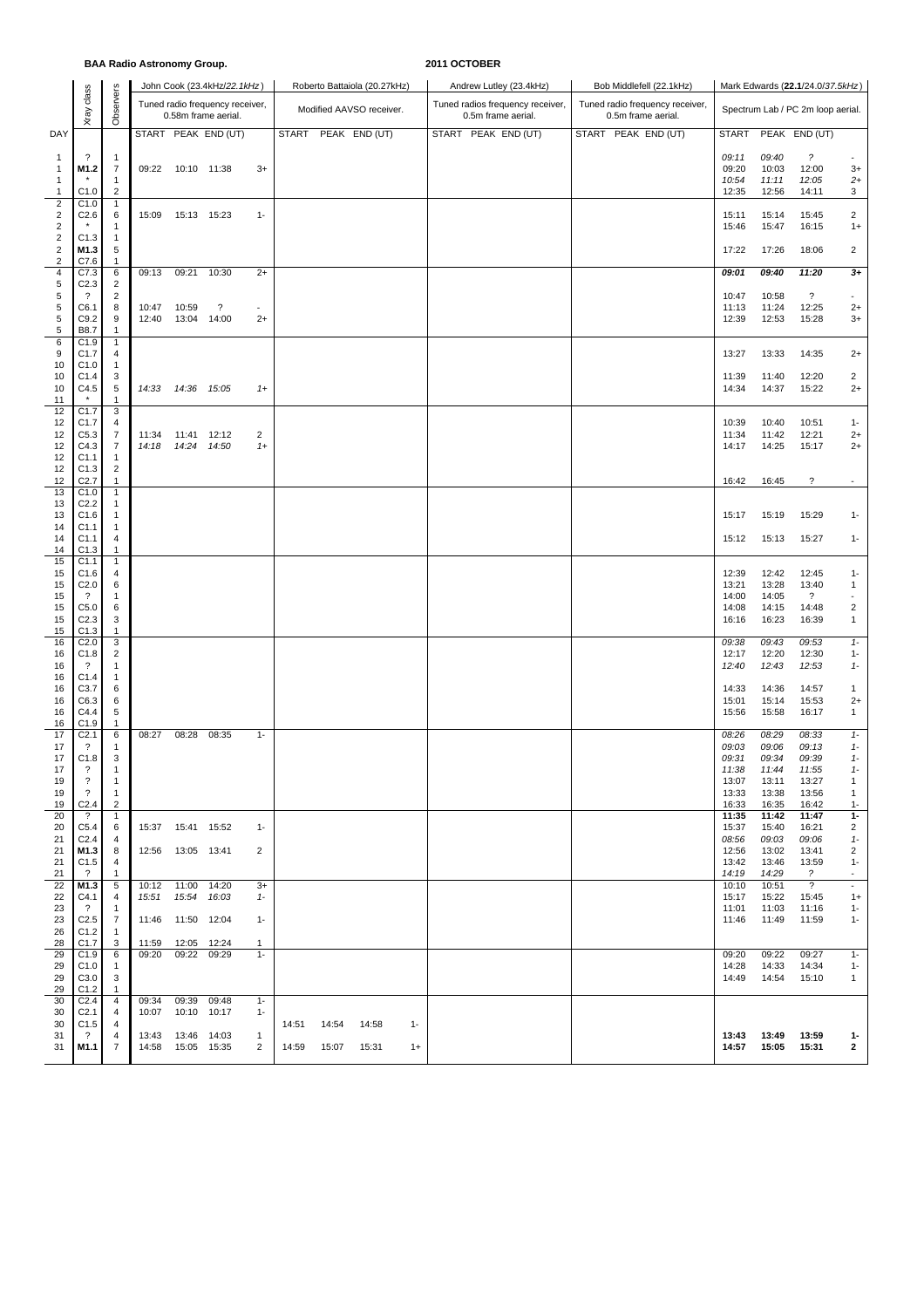## **BAA Radio Astronomy Group. 2011 OCTOBER**

|                                                             |                                                                                    |                                                                          |                |                                            | John Cook (23.4kHz/22.1kHz)                            |                        |                |                | Roberto Battaiola (20.27kHz) |               | Andrew Lutley (23.4kHz)                                | Bob Middlefell (22.1kHz)                              |                                                    |                                                    | Mark Edwards (22.1/24.0/37.5kHz)                   |                                                                |
|-------------------------------------------------------------|------------------------------------------------------------------------------------|--------------------------------------------------------------------------|----------------|--------------------------------------------|--------------------------------------------------------|------------------------|----------------|----------------|------------------------------|---------------|--------------------------------------------------------|-------------------------------------------------------|----------------------------------------------------|----------------------------------------------------|----------------------------------------------------|----------------------------------------------------------------|
|                                                             | Xray class                                                                         | Observers                                                                |                |                                            | Tuned radio frequency receiver,<br>0.58m frame aerial. |                        |                |                | Modified AAVSO receiver.     |               | Tuned radios frequency receiver,<br>0.5m frame aerial. | Tuned radio frequency receiver,<br>0.5m frame aerial. |                                                    |                                                    | Spectrum Lab / PC 2m loop aerial.                  |                                                                |
| DAY                                                         |                                                                                    |                                                                          |                |                                            | START PEAK END (UT)                                    |                        | <b>START</b>   |                | PEAK END (UT)                |               | START PEAK END (UT)                                    | START PEAK END (UT)                                   | <b>START</b>                                       |                                                    | PEAK END (UT)                                      |                                                                |
| $\mathbf{1}$<br>$\mathbf{1}$                                | ?<br>M1.2                                                                          | $\overline{1}$<br>$\overline{7}$                                         | 09:22          |                                            | 10:10 11:38                                            | $3+$                   |                |                |                              |               |                                                        |                                                       | 09:11<br>09:20                                     | 09:40<br>10:03                                     | $\overline{\phantom{a}}$<br>12:00                  | $3+$                                                           |
| $\mathbf{1}$<br>$\mathbf{1}$                                | C1.0                                                                               | $\mathbf{1}$<br>$\overline{c}$                                           |                |                                            |                                                        |                        |                |                |                              |               |                                                        |                                                       | 10:54<br>12:35                                     | 11:11<br>12:56                                     | 12:05<br>14:11                                     | $2+$<br>3                                                      |
| $\overline{\mathbf{c}}$<br>$\overline{2}$<br>$\overline{c}$ | C1.0<br>C2.6                                                                       | $\overline{1}$<br>6<br>$\mathbf{1}$                                      | 15:09          |                                            | 15:13 15:23                                            | $1 -$                  |                |                |                              |               |                                                        |                                                       | 15:11<br>15:46                                     | 15:14<br>15:47                                     | 15:45<br>16:15                                     | $\overline{2}$<br>$1+$                                         |
| $\overline{\mathbf{c}}$<br>$\overline{c}$                   | C1.3<br>M1.3                                                                       | $\overline{1}$<br>5                                                      |                |                                            |                                                        |                        |                |                |                              |               |                                                        |                                                       | 17:22                                              | 17:26                                              | 18:06                                              | $\overline{2}$                                                 |
| 2<br>4<br>5                                                 | C7.6<br>C7.3<br>C <sub>2.3</sub>                                                   | $\mathbf{1}$<br>6<br>$\overline{2}$                                      | 09:13          | 09:21                                      | 10:30                                                  | $2+$                   |                |                |                              |               |                                                        |                                                       | 09.01                                              | 09:40                                              | 11:20                                              | $3+$                                                           |
| 5<br>5<br>5<br>5                                            | ?<br>C6.1<br>C9.2<br><b>B8.7</b>                                                   | $\overline{c}$<br>8<br>9<br>$\mathbf{1}$                                 | 10:47<br>12:40 | 10:59<br>13:04                             | ?<br>14:00                                             | $\sim$<br>$2+$         |                |                |                              |               |                                                        |                                                       | 10:47<br>11:13<br>12:39                            | 10:58<br>11:24<br>12:53                            | $\boldsymbol{\mathcal{P}}$<br>12:25<br>15:28       | $\sim$<br>$2+$<br>$3+$                                         |
| 6<br>9<br>10                                                | C1.9<br>C1.7<br>C1.0                                                               | $\mathbf{1}$<br>4<br>$\mathbf{1}$                                        |                |                                            |                                                        |                        |                |                |                              |               |                                                        |                                                       | 13:27                                              | 13:33                                              | 14:35                                              | $2+$                                                           |
| 10<br>10<br>11                                              | C1.4<br>C4.5                                                                       | 3<br>5<br>1                                                              | 14:33          |                                            | 14:36 15:05                                            | $1+$                   |                |                |                              |               |                                                        |                                                       | 11:39<br>14:34                                     | 11:40<br>14:37                                     | 12:20<br>15:22                                     | $\overline{2}$<br>$2+$                                         |
| 12<br>12<br>12<br>12<br>12                                  | C1.7<br>C1.7<br>C5.3<br>C4.3<br>C1.1                                               | 3<br>4<br>$\overline{7}$<br>7<br>$\mathbf{1}$                            | 11:34<br>14:18 |                                            | 11:41 12:12<br>14:24 14:50                             | $\overline{c}$<br>$1+$ |                |                |                              |               |                                                        |                                                       | 10:39<br>11:34<br>14:17                            | 10:40<br>11:42<br>14:25                            | 10:51<br>12:21<br>15:17                            | $1 -$<br>$2+$<br>$2+$                                          |
| 12<br>12                                                    | C1.3<br>C <sub>2.7</sub>                                                           | $\overline{c}$<br>$\mathbf{1}$                                           |                |                                            |                                                        |                        |                |                |                              |               |                                                        |                                                       | 16:42                                              | 16:45                                              | $\ddot{\phantom{0}}$                               | $\sim$                                                         |
| 13<br>13<br>13                                              | C1.0<br>C <sub>2.2</sub><br>C1.6                                                   | $\mathbf{1}$<br>$\mathbf{1}$<br>$\mathbf{1}$                             |                |                                            |                                                        |                        |                |                |                              |               |                                                        |                                                       | 15:17                                              | 15:19                                              | 15:29                                              | $1 -$                                                          |
| 14<br>14<br>14                                              | C1.1<br>C1.1<br>C1.3                                                               | $\mathbf{1}$<br>4<br>$\mathbf{1}$                                        |                |                                            |                                                        |                        |                |                |                              |               |                                                        |                                                       | 15:12                                              | 15:13                                              | 15:27                                              | $1 -$                                                          |
| 15<br>15<br>15<br>15<br>15<br>15                            | C1.1<br>C1.6<br>C <sub>2.0</sub><br>$\overline{\cdot}$<br>C5.0<br>C <sub>2.3</sub> | $\mathbf{1}$<br>4<br>6<br>$\mathbf{1}$<br>6<br>3                         |                |                                            |                                                        |                        |                |                |                              |               |                                                        |                                                       | 12:39<br>13:21<br>14:00<br>14:08<br>16:16          | 12:42<br>13:28<br>14:05<br>14:15<br>16:23          | 12:45<br>13:40<br>$\gamma$<br>14:48<br>16:39       | $1 -$<br>1<br>$\overline{2}$<br>$\mathbf{1}$                   |
| 15<br>16                                                    | C1.3<br>C <sub>2.0</sub>                                                           | $\mathbf{1}$<br>$\mathbf{3}$                                             |                |                                            |                                                        |                        |                |                |                              |               |                                                        |                                                       | 09:38                                              | 09:43                                              | 09:53                                              | $1 -$                                                          |
| 16<br>16<br>16                                              | C1.8<br>$\cdot$<br>C1.4                                                            | $\overline{c}$<br>$\mathbf{1}$<br>$\mathbf{1}$                           |                |                                            |                                                        |                        |                |                |                              |               |                                                        |                                                       | 12:17<br>12:40                                     | 12:20<br>12:43                                     | 12:30<br>12:53                                     | $1 -$<br>$1-$                                                  |
| 16<br>16<br>16<br>16                                        | C3.7<br>C6.3<br>C4.4<br>C1.9                                                       | 6<br>6<br>5<br>1                                                         |                |                                            |                                                        |                        |                |                |                              |               |                                                        |                                                       | 14:33<br>15:01<br>15:56                            | 14:36<br>15:14<br>15:58                            | 14:57<br>15:53<br>16:17                            | 1<br>$2+$<br>$\mathbf{1}$                                      |
| 17<br>17<br>17<br>17<br>19<br>19                            | C <sub>2.1</sub><br>?<br>C1.8<br>?<br>?<br>$\overline{\cdot}$                      | 6<br>$\mathbf{1}$<br>3<br>$\overline{1}$<br>$\mathbf{1}$<br>$\mathbf{1}$ | 08:27          | 08:28                                      | 08:35                                                  | $1 -$                  |                |                |                              |               |                                                        |                                                       | 08:26<br>09:03<br>09:31<br>11:38<br>13:07<br>13:33 | 08:29<br>09:06<br>09:34<br>11:44<br>13:11<br>13:38 | 08:33<br>09:13<br>09:39<br>11:55<br>13:27<br>13:56 | $1-$<br>$1-$<br>$1 -$<br>$1 -$<br>$\mathbf{1}$<br>$\mathbf{1}$ |
| 19<br>20                                                    | C <sub>2.4</sub><br>$\cdot$                                                        | $\overline{2}$<br>$\mathbf{1}$                                           |                |                                            |                                                        |                        |                |                |                              |               |                                                        |                                                       | 16:33<br>11:35                                     | 16:35<br>11:42                                     | 16:42<br>11:47                                     | $1 -$<br>$1-$                                                  |
| 20<br>21<br>21                                              | C5.4<br>C <sub>2.4</sub><br>M1.3                                                   | 6<br>4<br>8                                                              |                | 15:37  15:41  15:52<br>12:56  13:05  13:41 |                                                        | $1 -$<br>2             |                |                |                              |               |                                                        |                                                       | 15:37<br>08:56<br>12:56                            | 15:40<br>09:03<br>13:02                            | 16:21<br>09:06<br>13:41                            | $\overline{2}$<br>$1-$<br>$\overline{2}$                       |
| 21<br>21                                                    | C1.5<br>$\overline{\mathcal{L}}$                                                   | 4<br>1                                                                   |                |                                            |                                                        |                        |                |                |                              |               |                                                        |                                                       | 13:42<br>14:19                                     | 13:46<br>14:29                                     | 13:59<br>$\overline{\mathcal{E}}$                  | $1 -$<br>$\overline{\phantom{a}}$                              |
| 22<br>22<br>23                                              | M1.3<br>C4.1<br>$\overline{\mathcal{L}}$                                           | 5<br>4<br>$\mathbf{1}$                                                   | 10:12<br>15:51 | 11:00<br>15:54                             | 14:20<br>16:03                                         | $3+$<br>$1 -$          |                |                |                              |               |                                                        |                                                       | 10:10<br>15:17<br>11:01                            | 10:51<br>15:22<br>11:03                            | $\overline{?}$<br>15:45<br>11:16                   | $\overline{\phantom{a}}$<br>$1+$<br>$1 -$                      |
| 23<br>26<br>28                                              | C <sub>2.5</sub><br>C1.2<br>C1.7                                                   | $\overline{7}$<br>$\overline{1}$<br>3                                    | 11:46<br>11:59 | 12:05                                      | 11:50 12:04<br>12:24                                   | $1 -$<br>1             |                |                |                              |               |                                                        |                                                       | 11:46                                              | 11:49                                              | 11:59                                              | $1 -$                                                          |
| 29<br>29<br>29                                              | C1.9<br>C1.0<br>C3.0                                                               | 6<br>-1<br>3                                                             | 09:20          | 09:22                                      | 09:29                                                  | $1 -$                  |                |                |                              |               |                                                        |                                                       | 09:20<br>14:28<br>14:49                            | 09:22<br>14:33<br>14:54                            | 09:27<br>14:34<br>15:10                            | $1 -$<br>$1 -$<br>$\mathbf{1}$                                 |
| 29<br>30<br>30                                              | C1.2<br>C <sub>2.4</sub><br>C <sub>2.1</sub>                                       | -1<br>4<br>$\overline{4}$                                                | 09:34<br>10:07 | 09:39<br>10:10                             | 09:48<br>10:17                                         | $1 -$<br>$1 -$         |                |                |                              |               |                                                        |                                                       |                                                    |                                                    |                                                    |                                                                |
| 30<br>31<br>31                                              | C1.5<br>?<br>M1.1                                                                  | 4<br>4<br>7                                                              | 13:43<br>14:58 | 13:46                                      | 14:03<br>15:05 15:35                                   | $\mathbf{1}$<br>2      | 14:51<br>14:59 | 14:54<br>15:07 | 14:58<br>15:31               | $1 -$<br>$1+$ |                                                        |                                                       | 13:43<br>14:57                                     | 13:49<br>15:05                                     | 13:59<br>15:31                                     | $1 -$<br>$\overline{2}$                                        |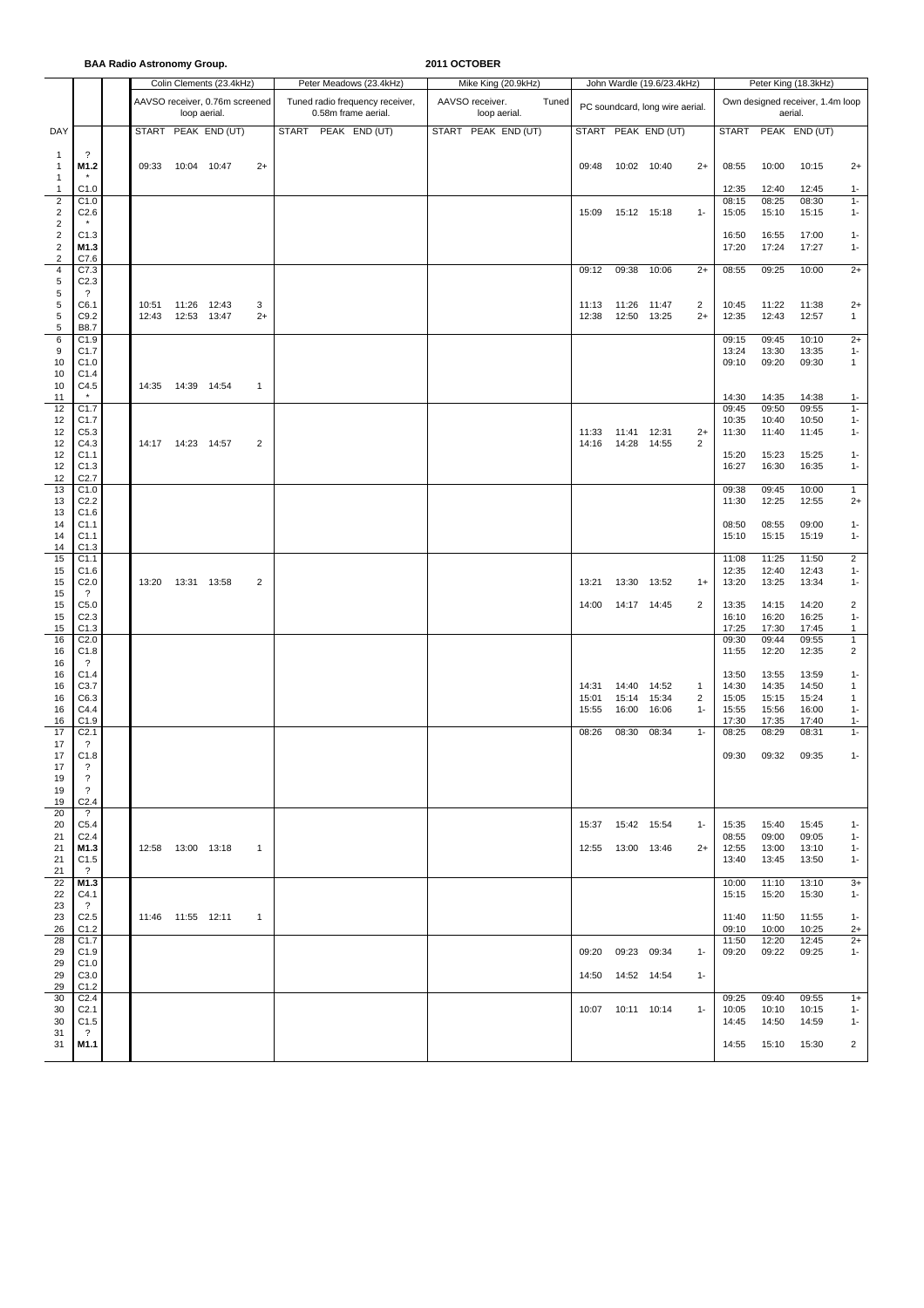**BAA Radio Astronomy Group. 2011 OCTOBER**

|                                             |                                        |       |                     | Colin Clements (23.4kHz)       |                | Peter Meadows (23.4kHz)                                | Mike King (20.9kHz)                      |                |                      | John Wardle (19.6/23.4kHz)      |                         | Peter King (18.3kHz)             |                |                |                       |  |  |  |
|---------------------------------------------|----------------------------------------|-------|---------------------|--------------------------------|----------------|--------------------------------------------------------|------------------------------------------|----------------|----------------------|---------------------------------|-------------------------|----------------------------------|----------------|----------------|-----------------------|--|--|--|
|                                             |                                        |       | loop aerial.        | AAVSO receiver, 0.76m screened |                | Tuned radio frequency receiver,<br>0.58m frame aerial. | AAVSO receiver.<br>Tuned<br>loop aerial. |                |                      | PC soundcard, long wire aerial. |                         | Own designed receiver, 1.4m loop |                |                |                       |  |  |  |
| DAY                                         |                                        | START |                     | PEAK END (UT)                  |                | <b>START</b><br>PEAK END (UT)                          | START PEAK END (UT)                      |                |                      | START PEAK END (UT)             |                         | <b>START</b>                     |                | PEAK END (UT)  |                       |  |  |  |
| 1<br>1<br>1                                 | $\overline{\cdot}$<br>M1.2             | 09:33 | 10:04 10:47         |                                | $2+$           |                                                        |                                          | 09:48          | 10:02 10:40          |                                 | $2+$                    | 08:55                            | 10:00          | 10:15          | $2+$                  |  |  |  |
| 1                                           | C1.0                                   |       |                     |                                |                |                                                        |                                          |                |                      |                                 |                         | 12:35                            | 12:40          | 12:45          | $1 -$                 |  |  |  |
| $\boldsymbol{2}$<br>$\overline{\mathbf{c}}$ | C1.0<br>C2.6                           |       |                     |                                |                |                                                        |                                          | 15:09          | 15:12 15:18          |                                 | $1 -$                   | 08:15<br>15:05                   | 08:25<br>15:10 | 08:30<br>15:15 | $1 -$<br>$1 -$        |  |  |  |
| $\overline{\mathbf{c}}$                     |                                        |       |                     |                                |                |                                                        |                                          |                |                      |                                 |                         |                                  |                |                |                       |  |  |  |
| $\overline{\mathbf{c}}$                     | C1.3                                   |       |                     |                                |                |                                                        |                                          |                |                      |                                 |                         | 16:50                            | 16:55          | 17:00          | $1 -$                 |  |  |  |
| $\overline{\mathbf{c}}$<br>2                | M1.3<br>C7.6                           |       |                     |                                |                |                                                        |                                          |                |                      |                                 |                         | 17:20                            | 17:24          | 17:27          | $1 -$                 |  |  |  |
| 4                                           | C7.3                                   |       |                     |                                |                |                                                        |                                          | 09:12          | 09:38                | 10:06                           | $2+$                    | 08:55                            | 09:25          | 10:00          | $2+$                  |  |  |  |
| 5                                           | C <sub>2.3</sub>                       |       |                     |                                |                |                                                        |                                          |                |                      |                                 |                         |                                  |                |                |                       |  |  |  |
| 5<br>5                                      | $\gamma$<br>C6.1                       | 10:51 | 11:26 12:43         |                                | 3              |                                                        |                                          | 11:13          | 11:26 11:47          |                                 | 2                       | 10:45                            | 11:22          | 11:38          | $2+$                  |  |  |  |
| 5                                           | C9.2                                   | 12:43 | 12:53 13:47         |                                | $2+$           |                                                        |                                          | 12:38          | 12:50                | 13:25                           | $2+$                    | 12:35                            | 12:43          | 12:57          | $\mathbf{1}$          |  |  |  |
| 5                                           | B8.7                                   |       |                     |                                |                |                                                        |                                          |                |                      |                                 |                         |                                  |                |                |                       |  |  |  |
| 6<br>9                                      | C1.9<br>C1.7                           |       |                     |                                |                |                                                        |                                          |                |                      |                                 |                         | 09:15<br>13:24                   | 09:45<br>13:30 | 10:10<br>13:35 | $2+$<br>$1 -$         |  |  |  |
| 10                                          | C1.0                                   |       |                     |                                |                |                                                        |                                          |                |                      |                                 |                         | 09:10                            | 09:20          | 09:30          | $\mathbf{1}$          |  |  |  |
| 10                                          | C <sub>1.4</sub>                       |       |                     |                                |                |                                                        |                                          |                |                      |                                 |                         |                                  |                |                |                       |  |  |  |
| 10<br>11                                    | C4.5<br>$\pmb{\ast}$                   | 14:35 | 14:39 14:54         |                                | 1              |                                                        |                                          |                |                      |                                 |                         | 14:30                            | 14:35          | 14:38          | $1 -$                 |  |  |  |
| 12                                          | C1.7                                   |       |                     |                                |                |                                                        |                                          |                |                      |                                 |                         | 09:45                            | 09:50          | 09:55          | $1 -$                 |  |  |  |
| 12                                          | C1.7                                   |       |                     |                                |                |                                                        |                                          |                |                      |                                 |                         | 10:35                            | 10:40          | 10:50          | $1 -$                 |  |  |  |
| 12<br>12                                    | C5.3<br>C4.3                           |       | 14:17  14:23  14:57 |                                | 2              |                                                        |                                          | 11:33<br>14:16 | 11:41<br>14:28 14:55 | 12:31                           | $2+$<br>2               | 11:30                            | 11:40          | 11:45          | $1 -$                 |  |  |  |
| 12                                          | C <sub>1.1</sub>                       |       |                     |                                |                |                                                        |                                          |                |                      |                                 |                         | 15:20                            | 15:23          | 15:25          | $1 -$                 |  |  |  |
| 12                                          | C1.3                                   |       |                     |                                |                |                                                        |                                          |                |                      |                                 |                         | 16:27                            | 16:30          | 16:35          | $1 -$                 |  |  |  |
| 12<br>13                                    | C <sub>2.7</sub><br>C1.0               |       |                     |                                |                |                                                        |                                          |                |                      |                                 |                         | 09:38                            | 09:45          | 10:00          | $\mathbf{1}$          |  |  |  |
| 13                                          | C <sub>2.2</sub>                       |       |                     |                                |                |                                                        |                                          |                |                      |                                 |                         | 11:30                            | 12:25          | 12:55          | $2+$                  |  |  |  |
| 13                                          | C1.6                                   |       |                     |                                |                |                                                        |                                          |                |                      |                                 |                         |                                  |                |                |                       |  |  |  |
| 14<br>14                                    | C <sub>1.1</sub><br>C <sub>1.1</sub>   |       |                     |                                |                |                                                        |                                          |                |                      |                                 |                         | 08:50<br>15:10                   | 08:55<br>15:15 | 09:00<br>15:19 | $1 -$<br>$1 -$        |  |  |  |
| 14                                          | C1.3                                   |       |                     |                                |                |                                                        |                                          |                |                      |                                 |                         |                                  |                |                |                       |  |  |  |
| 15                                          | C <sub>1.1</sub>                       |       |                     |                                |                |                                                        |                                          |                |                      |                                 |                         | 11:08                            | 11:25          | 11:50          | $\overline{2}$        |  |  |  |
| 15<br>15                                    | C1.6<br>C <sub>2.0</sub>               | 13:20 | 13:31 13:58         |                                | 2              |                                                        |                                          | 13:21          | 13:30 13:52          |                                 | $1+$                    | 12:35<br>13:20                   | 12:40<br>13:25 | 12:43<br>13:34 | $1 -$<br>$1 -$        |  |  |  |
| 15                                          | $\gamma$                               |       |                     |                                |                |                                                        |                                          |                |                      |                                 |                         |                                  |                |                |                       |  |  |  |
| 15                                          | C5.0                                   |       |                     |                                |                |                                                        |                                          | 14:00          | 14:17 14:45          |                                 | $\overline{\mathbf{c}}$ | 13:35                            | 14:15          | 14:20          | $\overline{2}$        |  |  |  |
| 15<br>15                                    | C <sub>2.3</sub><br>C1.3               |       |                     |                                |                |                                                        |                                          |                |                      |                                 |                         | 16:10<br>17:25                   | 16:20<br>17:30 | 16:25<br>17:45 | $1 -$<br>$\mathbf{1}$ |  |  |  |
| 16                                          | C <sub>2.0</sub>                       |       |                     |                                |                |                                                        |                                          |                |                      |                                 |                         | 09:30                            | 09:44          | 09:55          | $\mathbf{1}$          |  |  |  |
| 16<br>16                                    | C1.8<br>?                              |       |                     |                                |                |                                                        |                                          |                |                      |                                 |                         | 11:55                            | 12:20          | 12:35          | $\overline{2}$        |  |  |  |
| 16                                          | C1.4                                   |       |                     |                                |                |                                                        |                                          |                |                      |                                 |                         | 13:50                            | 13:55          | 13:59          | $1 -$                 |  |  |  |
| 16                                          | C3.7                                   |       |                     |                                |                |                                                        |                                          | 14:31          | 14:40                | 14:52                           | $\overline{1}$          | 14:30                            | 14:35          | 14:50          | 1                     |  |  |  |
| 16<br>16                                    | C6.3<br>C4.4                           |       |                     |                                |                |                                                        |                                          | 15:01<br>15:55 | 15:14<br>16:00       | 15:34<br>16:06                  | 2<br>$1 -$              | 15:05<br>15:55                   | 15:15<br>15:56 | 15:24<br>16:00 | 1<br>$1 -$            |  |  |  |
| 16                                          | C1.9                                   |       |                     |                                |                |                                                        |                                          |                |                      |                                 |                         | 17:30                            | 17:35          | 17:40          | $1 -$                 |  |  |  |
| 17                                          | C <sub>2.1</sub>                       |       |                     |                                |                |                                                        |                                          | 08:26          | 08:30                | 08:34                           | $1 -$                   | 08:25                            | 08:29          | 08:31          | $1 -$                 |  |  |  |
| 17<br>17                                    | $\overline{\cdot}$<br>C1.8             |       |                     |                                |                |                                                        |                                          |                |                      |                                 |                         | 09:30                            | 09:32          | 09:35          | $1 -$                 |  |  |  |
| 17                                          | ?                                      |       |                     |                                |                |                                                        |                                          |                |                      |                                 |                         |                                  |                |                |                       |  |  |  |
| 19                                          | $\overline{\cdot}$                     |       |                     |                                |                |                                                        |                                          |                |                      |                                 |                         |                                  |                |                |                       |  |  |  |
| 19<br>19                                    | $\overline{\cdot}$<br>C <sub>2.4</sub> |       |                     |                                |                |                                                        |                                          |                |                      |                                 |                         |                                  |                |                |                       |  |  |  |
| 20                                          | $\ddot{?}$                             |       |                     |                                |                |                                                        |                                          |                |                      |                                 |                         |                                  |                |                |                       |  |  |  |
| 20                                          | C5.4                                   |       |                     |                                |                |                                                        |                                          |                | 15:37  15:42  15:54  |                                 | $1 -$                   | 15:35                            | 15:40          | 15:45          | $1 -$                 |  |  |  |
| 21<br>21                                    | C <sub>2.4</sub><br>M1.3               |       | 12:58  13:00  13:18 |                                | $\mathbf{1}$   |                                                        |                                          |                | 12:55  13:00  13:46  |                                 | $2+$                    | 08:55<br>12:55                   | 09:00<br>13:00 | 09:05<br>13:10 | $1 -$<br>$1 -$        |  |  |  |
| 21                                          | C1.5                                   |       |                     |                                |                |                                                        |                                          |                |                      |                                 |                         | 13:40                            | 13:45          | 13:50          | $1 -$                 |  |  |  |
| 21                                          | $\overline{\mathcal{L}}$               |       |                     |                                |                |                                                        |                                          |                |                      |                                 |                         |                                  |                |                |                       |  |  |  |
| 22<br>22                                    | M1.3<br>C4.1                           |       |                     |                                |                |                                                        |                                          |                |                      |                                 |                         | 10:00<br>15:15                   | 11:10<br>15:20 | 13:10<br>15:30 | $3+$<br>$1 -$         |  |  |  |
| 23                                          | $\gamma$                               |       |                     |                                |                |                                                        |                                          |                |                      |                                 |                         |                                  |                |                |                       |  |  |  |
| 23                                          | C <sub>2.5</sub>                       |       | 11:46 11:55 12:11   |                                | $\overline{1}$ |                                                        |                                          |                |                      |                                 |                         | 11:40                            | 11:50          | 11:55          | $1 -$                 |  |  |  |
| 26<br>28                                    | C1.2<br>C <sub>1.7</sub>               |       |                     |                                |                |                                                        |                                          |                |                      |                                 |                         | 09:10<br>11:50                   | 10:00<br>12:20 | 10:25<br>12:45 | $2+$<br>$2+$          |  |  |  |
| 29                                          | C <sub>1.9</sub>                       |       |                     |                                |                |                                                        |                                          |                | 09:20 09:23 09:34    |                                 | $1 -$                   | 09:20                            | 09:22          | 09:25          | $1 -$                 |  |  |  |
| 29<br>29                                    | C1.0<br>C3.0                           |       |                     |                                |                |                                                        |                                          |                | 14:50  14:52  14:54  |                                 | $1 -$                   |                                  |                |                |                       |  |  |  |
| 29                                          | C1.2                                   |       |                     |                                |                |                                                        |                                          |                |                      |                                 |                         |                                  |                |                |                       |  |  |  |
| 30                                          | C <sub>2.4</sub>                       |       |                     |                                |                |                                                        |                                          |                |                      |                                 |                         | 09:25                            | 09:40          | 09:55          | $1+$                  |  |  |  |
| 30<br>30                                    | C <sub>2.1</sub><br>C1.5               |       |                     |                                |                |                                                        |                                          |                | 10:07  10:11  10:14  |                                 | $1 -$                   | 10:05<br>14:45                   | 10:10<br>14:50 | 10:15<br>14:59 | $1 -$<br>$1 -$        |  |  |  |
| 31                                          | $\overline{\mathbf{?}}$                |       |                     |                                |                |                                                        |                                          |                |                      |                                 |                         |                                  |                |                |                       |  |  |  |
| 31                                          | M1.1                                   |       |                     |                                |                |                                                        |                                          |                |                      |                                 |                         | 14:55                            | 15:10          | 15:30          | $\overline{2}$        |  |  |  |
|                                             |                                        |       |                     |                                |                |                                                        |                                          |                |                      |                                 |                         |                                  |                |                |                       |  |  |  |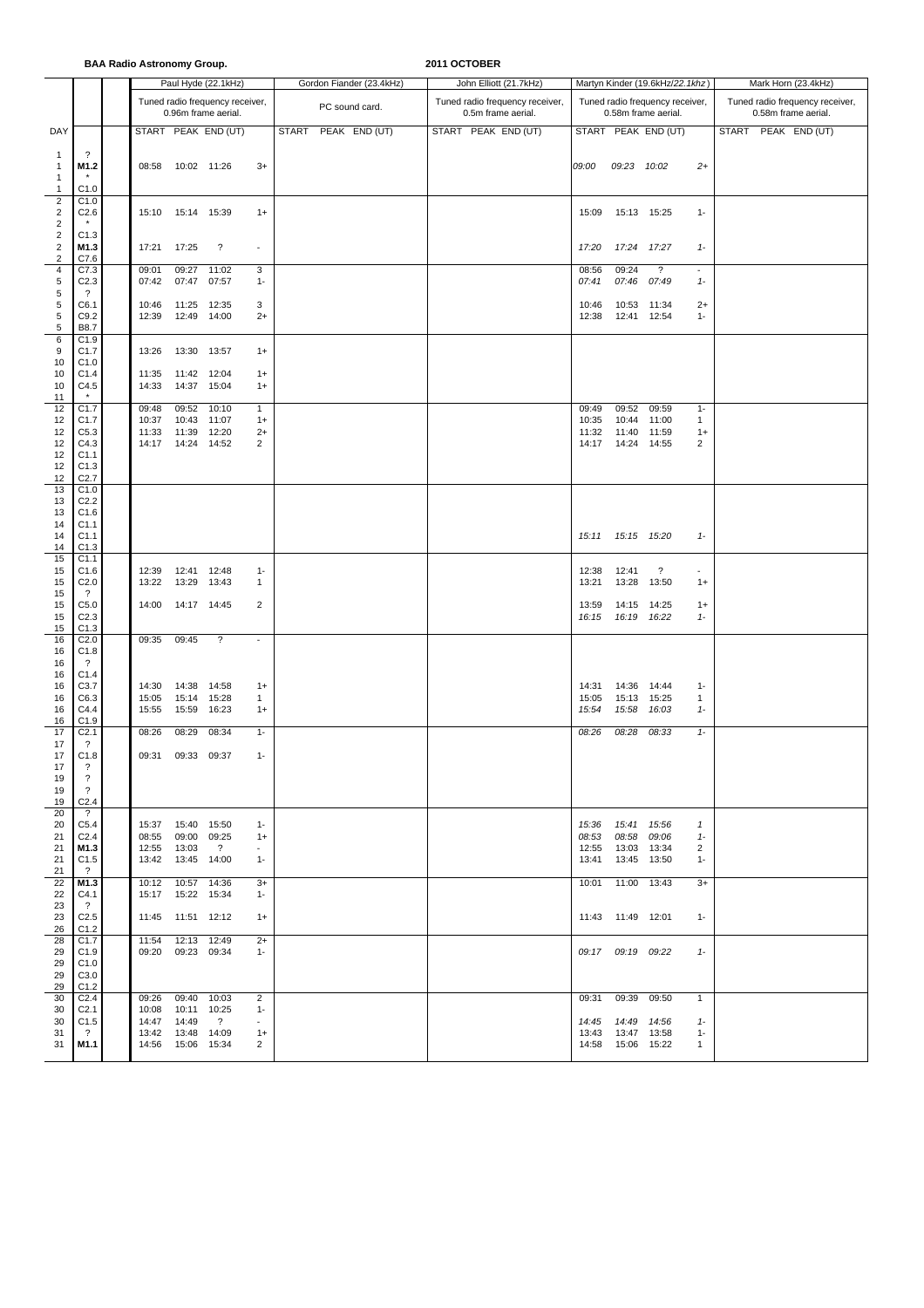**BAA Radio Astronomy Group. 2011 OCTOBER**

|                                                                                        |                                                                                                                                                                                                                                |                                  |                                                                                                                                                                                   | Paul Hyde (22.1kHz)                                    |                                                                            |              | Gordon Fiander (23.4kHz) |  | John Elliott (21.7kHz)                                |                                  |                                                                                                                                | Martyn Kinder (19.6kHz/22.1khz)                        |                                                                         | Mark Horn (23.4kHz)                                    |                     |  |  |  |  |
|----------------------------------------------------------------------------------------|--------------------------------------------------------------------------------------------------------------------------------------------------------------------------------------------------------------------------------|----------------------------------|-----------------------------------------------------------------------------------------------------------------------------------------------------------------------------------|--------------------------------------------------------|----------------------------------------------------------------------------|--------------|--------------------------|--|-------------------------------------------------------|----------------------------------|--------------------------------------------------------------------------------------------------------------------------------|--------------------------------------------------------|-------------------------------------------------------------------------|--------------------------------------------------------|---------------------|--|--|--|--|
|                                                                                        |                                                                                                                                                                                                                                |                                  |                                                                                                                                                                                   | Tuned radio frequency receiver,<br>0.96m frame aerial. |                                                                            |              | PC sound card.           |  | Tuned radio frequency receiver,<br>0.5m frame aerial. |                                  |                                                                                                                                | Tuned radio frequency receiver,<br>0.58m frame aerial. |                                                                         | Tuned radio frequency receiver,<br>0.58m frame aerial. |                     |  |  |  |  |
| DAY                                                                                    |                                                                                                                                                                                                                                |                                  |                                                                                                                                                                                   | START PEAK END (UT)                                    |                                                                            | <b>START</b> | PEAK END (UT)            |  | START PEAK END (UT)                                   |                                  |                                                                                                                                | START PEAK END (UT)                                    |                                                                         |                                                        | START PEAK END (UT) |  |  |  |  |
| $\overline{1}$<br>$\mathbf{1}$<br>$\mathbf{1}$<br>$\mathbf{1}$                         | ?<br>M1.2<br>C1.0                                                                                                                                                                                                              |                                  | 08:58 10:02 11:26                                                                                                                                                                 |                                                        | $3+$                                                                       |              |                          |  |                                                       | 09:00                            | 09:23 10:02                                                                                                                    |                                                        | $^{2+}$                                                                 |                                                        |                     |  |  |  |  |
| $\overline{2}$<br>$\overline{c}$<br>$\overline{c}$                                     | C1.0<br>C2.6                                                                                                                                                                                                                   |                                  | 15:10  15:14  15:39                                                                                                                                                               |                                                        | $1+$                                                                       |              |                          |  |                                                       | 15:09                            | 15:13 15:25                                                                                                                    |                                                        | $1 -$                                                                   |                                                        |                     |  |  |  |  |
| $\overline{c}$<br>$\sqrt{2}$<br>$\overline{\mathbf{c}}$                                | C1.3<br>M1.3<br>C7.6                                                                                                                                                                                                           | 17:21                            | 17:25                                                                                                                                                                             | $\ddot{?}$                                             | $\overline{\phantom{a}}$                                                   |              |                          |  |                                                       | 17:20                            | 17:24 17:27                                                                                                                    |                                                        | $1 -$                                                                   |                                                        |                     |  |  |  |  |
| $\overline{\mathbf{4}}$<br>$\,$ 5 $\,$<br>5<br>5                                       | C7.3<br>C <sub>2.3</sub><br>?<br>C6.1                                                                                                                                                                                          | 09:01<br>07:42<br>10:46          | 09:27<br>07:47<br>11:25 12:35                                                                                                                                                     | 11:02<br>07:57                                         | 3<br>$1 -$<br>3                                                            |              |                          |  |                                                       | 08:56<br>07:41<br>10:46          | 09:24<br>07:46<br>10:53 11:34                                                                                                  | $\overline{?}$<br>07:49                                | $\overline{\phantom{a}}$<br>$1 -$<br>$2+$                               |                                                        |                     |  |  |  |  |
| $\,$ 5 $\,$<br>5<br>6                                                                  | C9.2<br>B8.7<br>C1.9                                                                                                                                                                                                           | 12:39                            | 12:49 14:00                                                                                                                                                                       |                                                        | $2+$                                                                       |              |                          |  |                                                       | 12:38                            | 12:41                                                                                                                          | 12:54                                                  | $1 -$                                                                   |                                                        |                     |  |  |  |  |
| 9<br>10<br>10                                                                          | C1.7<br>C1.0<br>C1.4                                                                                                                                                                                                           | 13:26<br>11:35                   | 13:30 13:57<br>11:42 12:04                                                                                                                                                        |                                                        | $1+$<br>$1+$                                                               |              |                          |  |                                                       |                                  |                                                                                                                                |                                                        |                                                                         |                                                        |                     |  |  |  |  |
| 10<br>11                                                                               | C4.5                                                                                                                                                                                                                           | 14:33                            | 14:37 15:04                                                                                                                                                                       |                                                        | $1+$                                                                       |              |                          |  |                                                       |                                  |                                                                                                                                |                                                        |                                                                         |                                                        |                     |  |  |  |  |
| 12<br>12<br>12<br>12<br>12<br>12<br>12                                                 | C1.7<br>C1.7<br>C5.3<br>C4.3<br>C <sub>1.1</sub><br>C1.3<br>C <sub>2.7</sub>                                                                                                                                                   | 09:48<br>10:37<br>11:33<br>14:17 | 09:52 10:10<br>10:43<br>11:39<br>14:24                                                                                                                                            | 11:07<br>12:20<br>14:52                                | $\mathbf{1}$<br>$1+$<br>$2+$<br>2                                          |              |                          |  |                                                       | 09:49<br>10:35<br>11:32<br>14:17 | 09:52<br>10:44<br>11:40<br>14:24                                                                                               | 09:59<br>11:00<br>11:59<br>14:55                       | $1 -$<br>$\mathbf{1}$<br>$1+$<br>2                                      |                                                        |                     |  |  |  |  |
| 13<br>13<br>13<br>14<br>14<br>14<br>15<br>15<br>15                                     | C1.0<br>C <sub>2.2</sub><br>C1.6<br>C1.1<br>C <sub>1.1</sub><br>C1.3<br>C1.1<br>C1.6<br>C <sub>2.0</sub>                                                                                                                       | 12:39<br>13:22                   | 12:41 12:48<br>13:29                                                                                                                                                              | 13:43                                                  | $1 -$<br>$\mathbf{1}$                                                      |              |                          |  |                                                       | 15:11<br>12:38<br>13:21          | 15:15 15:20<br>12:41<br>13:28                                                                                                  | $\ddot{\phantom{0}}$<br>13:50                          | $1 -$<br>$\overline{\phantom{a}}$<br>$1+$                               |                                                        |                     |  |  |  |  |
| 15<br>15<br>15<br>15                                                                   | ?<br>C5.0<br>C <sub>2.3</sub><br>C1.3                                                                                                                                                                                          | 14:00                            | 14:17 14:45                                                                                                                                                                       |                                                        | 2                                                                          |              |                          |  |                                                       | 13:59<br>16:15                   | 14:15 14:25<br>16:19 16:22                                                                                                     |                                                        | $1+$<br>$1 -$                                                           |                                                        |                     |  |  |  |  |
| 16<br>16                                                                               | C <sub>2.0</sub>                                                                                                                                                                                                               | 09:35                            | 09:45                                                                                                                                                                             | $\ddot{?}$                                             | $\omega$                                                                   |              |                          |  |                                                       |                                  |                                                                                                                                |                                                        |                                                                         |                                                        |                     |  |  |  |  |
| 16<br>16<br>16<br>16<br>16<br>16                                                       | C1.8<br>$\gamma$<br>C1.4<br>C3.7<br>C6.3<br>C4.4<br>C1.9                                                                                                                                                                       | 14:30<br>15:05<br>15:55          | 14:38<br>15:14 15:28<br>15:59                                                                                                                                                     | 14:58<br>16:23                                         | $1+$<br>$\mathbf{1}$<br>$1+$                                               |              |                          |  |                                                       | 14:31<br>15:05<br>15:54          | 14:36<br>15:13 15:25<br>15:58                                                                                                  | 14:44<br>16:03                                         | $1 -$<br>$\mathbf{1}$<br>$1-$                                           |                                                        |                     |  |  |  |  |
| 17<br>17<br>17<br>17<br>19<br>19<br>19                                                 | C <sub>2.1</sub><br>?<br>C1.8<br>?<br>$\overline{\cdot}$<br>?<br>C <sub>2.4</sub>                                                                                                                                              | 08:26<br>09:31                   | 08:29<br>09:33 09:37                                                                                                                                                              | 08:34                                                  | $1 -$<br>$1 -$                                                             |              |                          |  |                                                       | 08:26                            | 08:28                                                                                                                          | 08:33                                                  | $1 -$                                                                   |                                                        |                     |  |  |  |  |
| 20<br>20<br>21<br>21<br>21<br>21<br>22<br>22<br>23<br>23<br>26<br>28<br>29<br>29<br>29 | $\ddot{\phantom{0}}$<br>C <sub>5.4</sub><br>C <sub>2.4</sub><br>M1.3<br>C1.5<br>$\overline{?}$<br>M1.3<br>C4.1<br>$\overline{\mathcal{L}}$<br>C <sub>2.5</sub><br>C1.2<br>C1.7<br>C <sub>1.9</sub><br>C <sub>1.0</sub><br>C3.0 | 08:55<br>11:54                   | 15:37  15:40  15:50<br>09:00 09:25<br>12:55 13:03<br>13:42  13:45  14:00<br>10:12  10:57  14:36<br>15:17  15:22  15:34<br>11:45  11:51  12:12<br>12:13 12:49<br>09:20 09:23 09:34 | $\overline{?}$                                         | $1 -$<br>$1+$<br>$\sim$<br>$1 -$<br>$3+$<br>$1 -$<br>$1+$<br>$2+$<br>$1 -$ |              |                          |  |                                                       | 08:53                            | 15:36  15:41  15:56<br>08:58<br>12:55 13:03<br>13:41  13:45<br>10:01  11:00  13:43<br>11:43  11:49  12:01<br>09:17 09:19 09:22 | 09:06<br>13:34<br>13:50                                | 1<br>$1 -$<br>$\overline{\mathbf{c}}$<br>$1 -$<br>$3+$<br>$1 -$<br>$1-$ |                                                        |                     |  |  |  |  |
| 29<br>30<br>30<br>30<br>31<br>31                                                       | C1.2<br>C <sub>2.4</sub><br>C <sub>2.1</sub><br>C1.5<br>$\cdot$ ?<br>M1.1                                                                                                                                                      | 09:26<br>10:08<br>14:47<br>13:42 | 09:40 10:03<br>10:11 10:25<br>14:49<br>13:48 14:09<br>14:56  15:06  15:34                                                                                                         | $\overline{?}$                                         | 2<br>$1 -$<br>$\sim$<br>$1+$<br>2                                          |              |                          |  |                                                       | 14:45                            | 09:31 09:39 09:50<br>14:49<br>13:43  13:47<br>14:58  15:06  15:22                                                              | 14:56<br>13:58                                         | $\mathbf{1}$<br>$1-$<br>$1 -$<br>$\mathbf{1}$                           |                                                        |                     |  |  |  |  |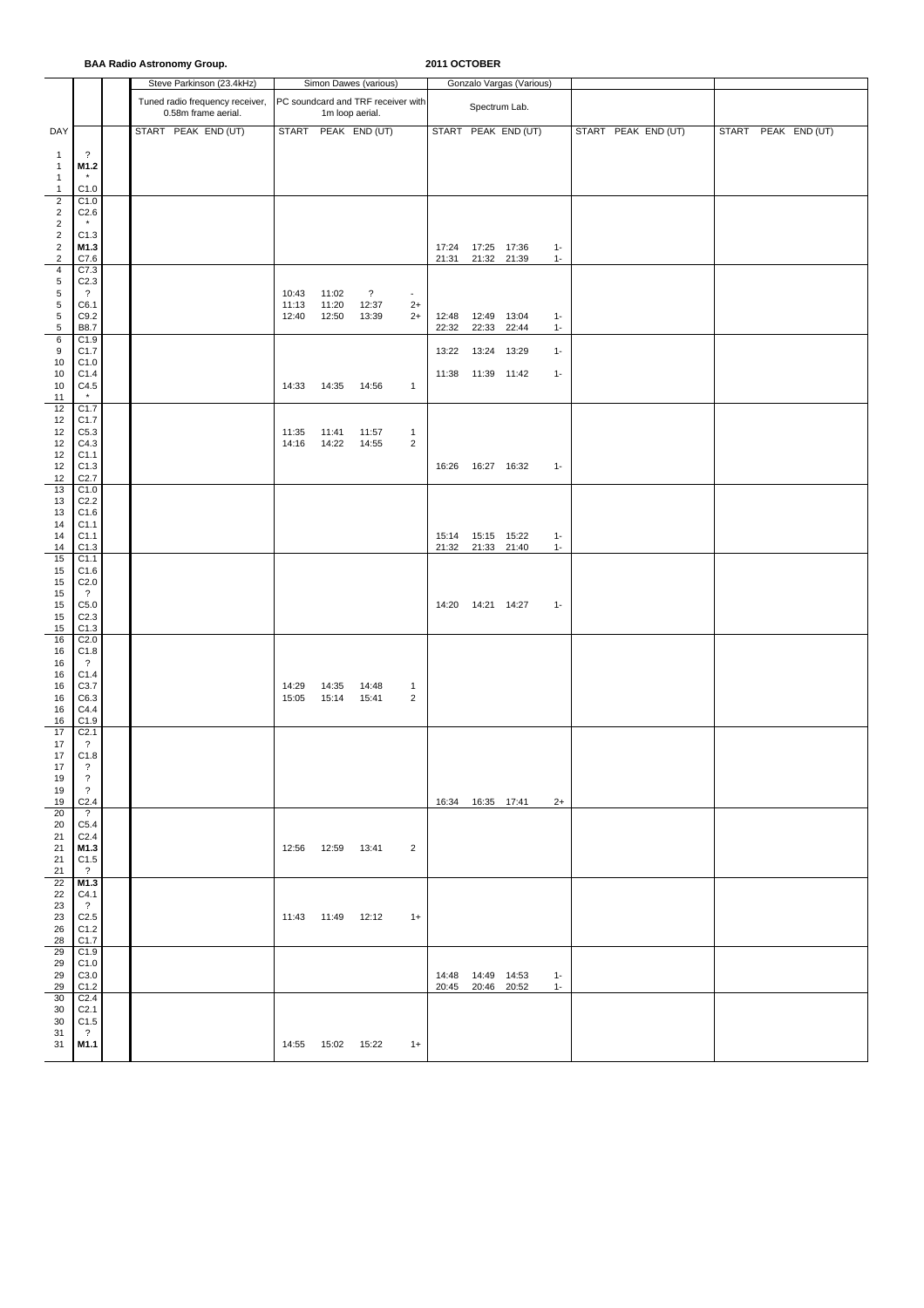|                                      |                                      | <b>BAA Radio Astronomy Group.</b>                      |                |                     |                                    |                                | 2011 OCTOBER   |                            |                          |                |                     |                     |  |
|--------------------------------------|--------------------------------------|--------------------------------------------------------|----------------|---------------------|------------------------------------|--------------------------------|----------------|----------------------------|--------------------------|----------------|---------------------|---------------------|--|
|                                      |                                      | Steve Parkinson (23.4kHz)                              |                |                     | Simon Dawes (various)              |                                |                |                            | Gonzalo Vargas (Various) |                |                     |                     |  |
|                                      |                                      | Tuned radio frequency receiver,<br>0.58m frame aerial. |                | 1m loop aerial.     | PC soundcard and TRF receiver with |                                |                | Spectrum Lab.              |                          |                |                     |                     |  |
| DAY                                  |                                      | START PEAK END (UT)                                    |                |                     | START PEAK END (UT)                |                                |                |                            | START PEAK END (UT)      |                | START PEAK END (UT) | START PEAK END (UT) |  |
| 1                                    | $\overline{\cdot}$                   |                                                        |                |                     |                                    |                                |                |                            |                          |                |                     |                     |  |
| $\mathbf{1}$<br>1                    | M1.2                                 |                                                        |                |                     |                                    |                                |                |                            |                          |                |                     |                     |  |
| $\mathbf{1}$<br>$\boldsymbol{2}$     | C1.0<br>C1.0                         |                                                        |                |                     |                                    |                                |                |                            |                          |                |                     |                     |  |
| $\overline{c}$                       | C2.6                                 |                                                        |                |                     |                                    |                                |                |                            |                          |                |                     |                     |  |
| $\boldsymbol{2}$<br>$\boldsymbol{2}$ | C1.3                                 |                                                        |                |                     |                                    |                                |                |                            |                          |                |                     |                     |  |
| $\boldsymbol{2}$<br>$\boldsymbol{2}$ | M1.3<br>C7.6                         |                                                        |                |                     |                                    |                                | 17:24<br>21:31 | 17:25 17:36<br>21:32 21:39 |                          | $1 -$<br>$1 -$ |                     |                     |  |
| $\overline{\mathbf{4}}$<br>5         | C7.3<br>C <sub>2.3</sub>             |                                                        |                |                     |                                    |                                |                |                            |                          |                |                     |                     |  |
| 5                                    | $\overline{\cdot}$                   |                                                        | 10:43          | 11:02               | $\overline{\mathcal{E}}$           | $\omega$                       |                |                            |                          |                |                     |                     |  |
| 5<br>5                               | C6.1<br>C9.2                         |                                                        | 11:13<br>12:40 | 11:20<br>12:50      | 12:37<br>13:39                     | $2+$<br>$2+$                   | 12:48          | 12:49 13:04                |                          | $1 -$          |                     |                     |  |
| 5<br>6                               | B8.7<br>C1.9                         |                                                        |                |                     |                                    |                                | 22:32          | 22:33                      | 22:44                    | $1 -$          |                     |                     |  |
| 9<br>10                              | C1.7<br>C1.0                         |                                                        |                |                     |                                    |                                | 13:22          | 13:24 13:29                |                          | $1 -$          |                     |                     |  |
| 10                                   | C1.4                                 |                                                        |                |                     |                                    |                                |                | 11:38  11:39  11:42        |                          | $1 -$          |                     |                     |  |
| 10<br>11                             | C4.5<br>$\star$                      |                                                        | 14:33          | 14:35               | 14:56                              | $\mathbf{1}$                   |                |                            |                          |                |                     |                     |  |
| 12<br>12                             | C1.7<br>C1.7                         |                                                        |                |                     |                                    |                                |                |                            |                          |                |                     |                     |  |
| 12<br>12                             | C5.3<br>C4.3                         |                                                        | 11:35<br>14:16 | 11:41<br>14:22      | 11:57<br>14:55                     | $\mathbf{1}$<br>$\overline{c}$ |                |                            |                          |                |                     |                     |  |
| 12                                   | C <sub>1.1</sub>                     |                                                        |                |                     |                                    |                                |                |                            |                          |                |                     |                     |  |
| 12<br>12                             | C1.3<br>C <sub>2.7</sub>             |                                                        |                |                     |                                    |                                | 16:26          | 16:27 16:32                |                          | $1 -$          |                     |                     |  |
| 13<br>13                             | C1.0<br>C <sub>2.2</sub>             |                                                        |                |                     |                                    |                                |                |                            |                          |                |                     |                     |  |
| 13<br>14                             | C1.6<br>C1.1                         |                                                        |                |                     |                                    |                                |                |                            |                          |                |                     |                     |  |
| 14<br>14                             | C1.1<br>C1.3                         |                                                        |                |                     |                                    |                                | 15:14<br>21:32 | 15:15 15:22<br>21:33 21:40 |                          | $1 -$<br>$1 -$ |                     |                     |  |
| 15                                   | C1.1                                 |                                                        |                |                     |                                    |                                |                |                            |                          |                |                     |                     |  |
| 15<br>15                             | C1.6<br>C <sub>2.0</sub>             |                                                        |                |                     |                                    |                                |                |                            |                          |                |                     |                     |  |
| 15<br>15                             | $\overline{\cdot}$<br>C5.0           |                                                        |                |                     |                                    |                                |                | 14:20  14:21  14:27        |                          | $1 -$          |                     |                     |  |
| 15<br>15                             | C <sub>2.3</sub><br>C1.3             |                                                        |                |                     |                                    |                                |                |                            |                          |                |                     |                     |  |
| 16                                   | C <sub>2.0</sub>                     |                                                        |                |                     |                                    |                                |                |                            |                          |                |                     |                     |  |
| 16<br>16                             | C1.8<br>?                            |                                                        |                |                     |                                    |                                |                |                            |                          |                |                     |                     |  |
| 16<br>16                             | C1.4<br>C3.7                         |                                                        | 14:29          | 14:35               | 14:48                              | $\mathbf{1}$                   |                |                            |                          |                |                     |                     |  |
| 16<br>16                             | C6.3<br>C4.4                         |                                                        | 15:05          | 15:14               | 15:41                              | $\overline{2}$                 |                |                            |                          |                |                     |                     |  |
| 16                                   | C1.9                                 |                                                        |                |                     |                                    |                                |                |                            |                          |                |                     |                     |  |
| 17<br>17                             | C <sub>2.1</sub><br>$\overline{?}$   |                                                        |                |                     |                                    |                                |                |                            |                          |                |                     |                     |  |
| 17<br>17                             | C1.8<br>$\overline{\cdot}$           |                                                        |                |                     |                                    |                                |                |                            |                          |                |                     |                     |  |
| 19<br>19                             | $\overline{\cdot}$<br>$\overline{?}$ |                                                        |                |                     |                                    |                                |                |                            |                          |                |                     |                     |  |
| 19<br>20                             | C <sub>2.4</sub><br>$\cdot$          |                                                        |                |                     |                                    |                                |                | 16:34  16:35  17:41        |                          | $2+$           |                     |                     |  |
| 20                                   | C5.4                                 |                                                        |                |                     |                                    |                                |                |                            |                          |                |                     |                     |  |
| 21<br>21                             | C <sub>2.4</sub><br>M1.3             |                                                        |                | 12:56  12:59  13:41 |                                    | $\overline{2}$                 |                |                            |                          |                |                     |                     |  |
| 21<br>21                             | C1.5<br>$\overline{?}$               |                                                        |                |                     |                                    |                                |                |                            |                          |                |                     |                     |  |
| 22<br>22                             | M1.3<br>C4.1                         |                                                        |                |                     |                                    |                                |                |                            |                          |                |                     |                     |  |
| 23                                   | $\overline{\mathcal{L}}$             |                                                        |                | 11:43  11:49  12:12 |                                    |                                |                |                            |                          |                |                     |                     |  |
| 23<br>26                             | C <sub>2.5</sub><br>C1.2             |                                                        |                |                     |                                    | $1+$                           |                |                            |                          |                |                     |                     |  |
| 28<br>29                             | C <sub>1.7</sub><br>C1.9             |                                                        |                |                     |                                    |                                |                |                            |                          |                |                     |                     |  |
| 29<br>29                             | C1.0<br>C3.0                         |                                                        |                |                     |                                    |                                |                | 14:48  14:49  14:53        |                          | $1 -$          |                     |                     |  |
| 29<br>30                             | C1.2<br>C <sub>2.4</sub>             |                                                        |                |                     |                                    |                                |                | 20:45 20:46 20:52          |                          | $1 -$          |                     |                     |  |
| 30                                   | C <sub>2.1</sub>                     |                                                        |                |                     |                                    |                                |                |                            |                          |                |                     |                     |  |
| 30<br>31                             | C1.5<br>$\ddot{?}$                   |                                                        |                |                     |                                    |                                |                |                            |                          |                |                     |                     |  |
| 31                                   | M1.1                                 |                                                        |                | 14:55  15:02  15:22 |                                    | $1+$                           |                |                            |                          |                |                     |                     |  |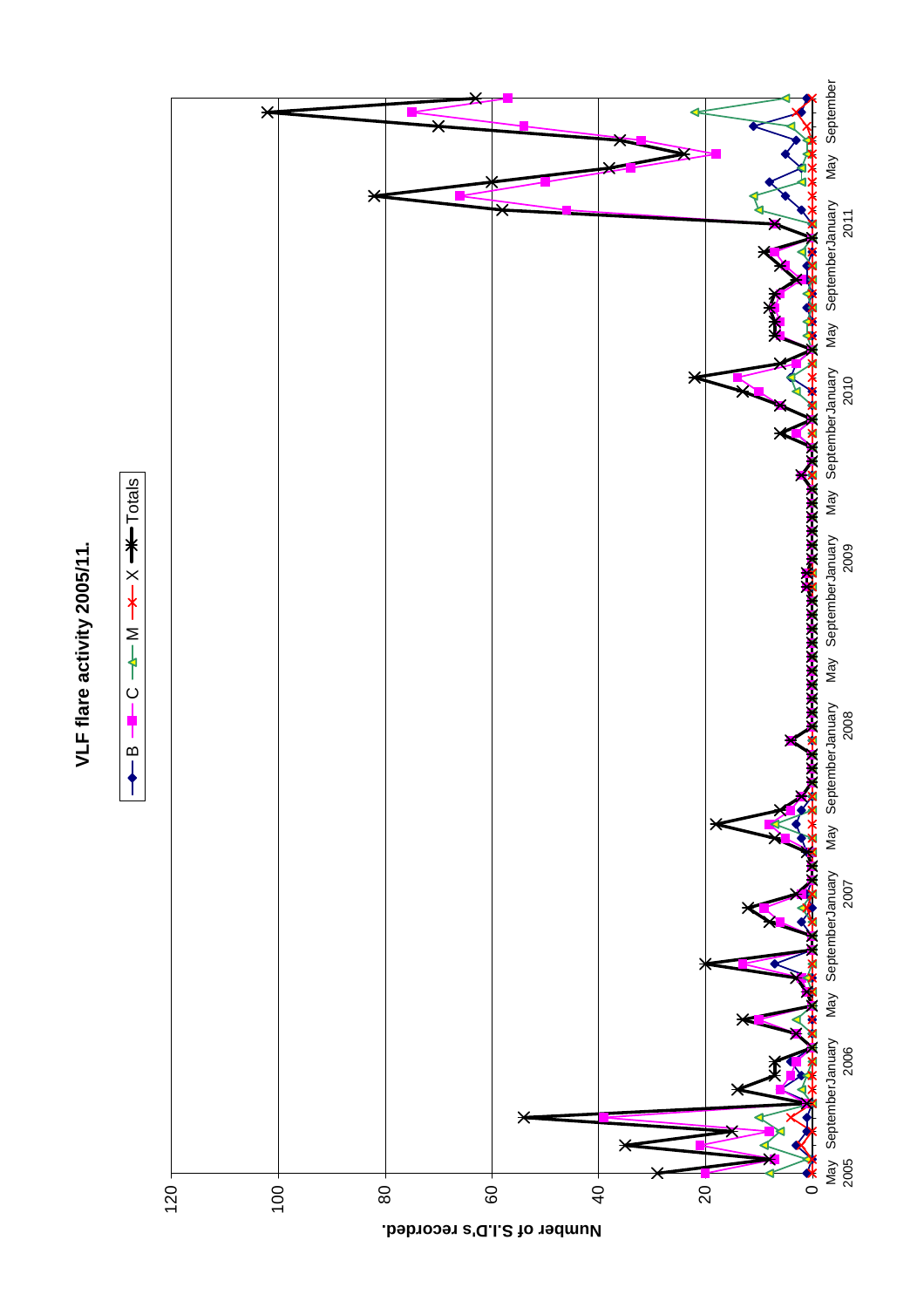

B

 $B \leftarrow C \leftarrow M \rightarrow X \rightarrow C$ 

 $\overline{\ast}$ 

 $M -$ 

 $\dot{\Omega}$ ╉

 $+$  Totals



**Number of S.I.D's recorded.**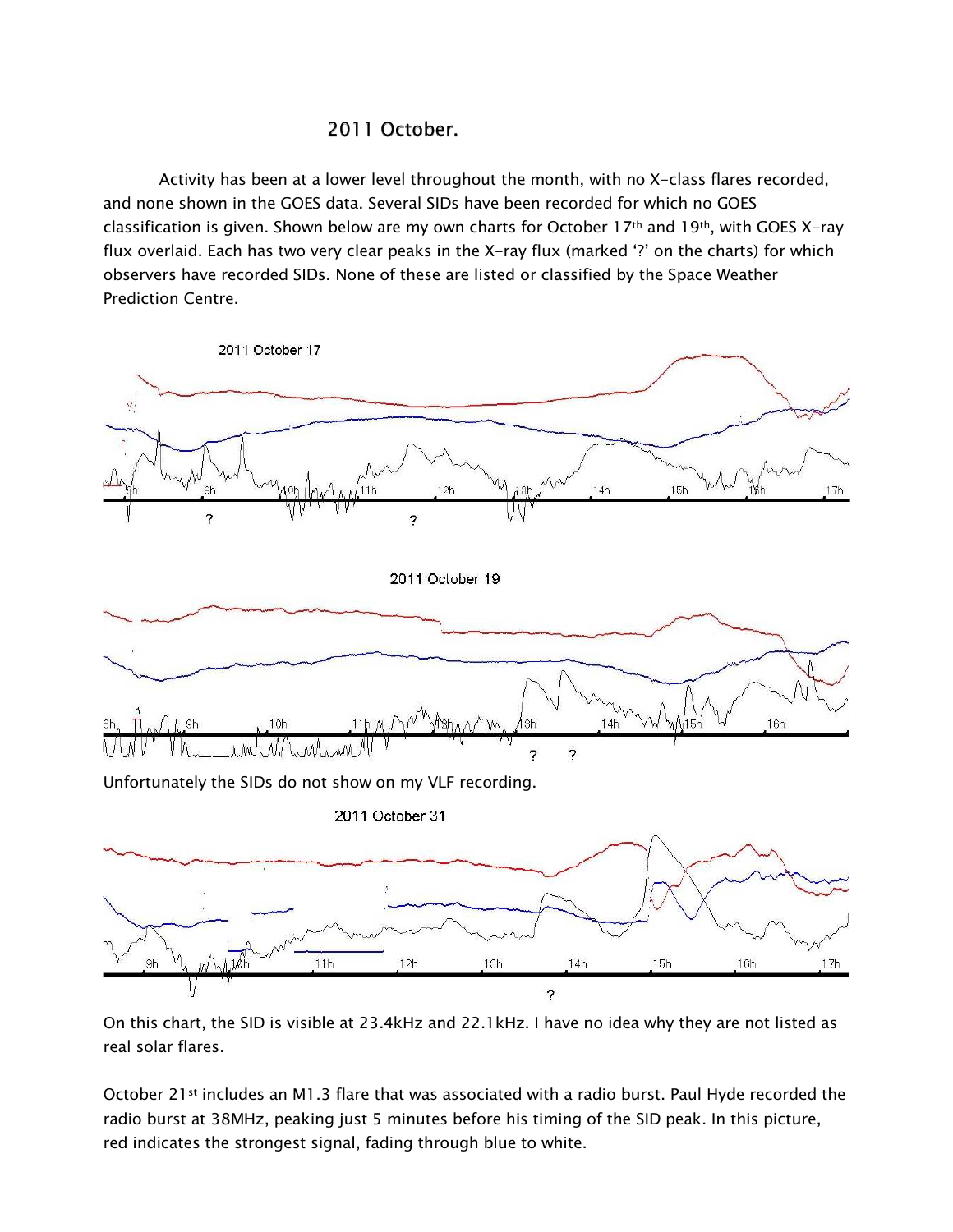## 2011 October.

Activity has been at a lower level throughout the month, with no X-class flares recorded, and none shown in the GOES data. Several SIDs have been recorded for which no GOES classification is given. Shown below are my own charts for October 17th and 19th, with GOES X-ray flux overlaid. Each has two very clear peaks in the X-ray flux (marked '?' on the charts) for which observers have recorded SIDs. None of these are listed or classified by the Space Weather **Prediction Centre.** 



On this chart, the SID is visible at 23.4kHz and 22.1kHz. I have no idea why they are not listed as real solar flares.

October 21<sup>st</sup> includes an M1.3 flare that was associated with a radio burst. Paul Hyde recorded the radio burst at 38MHz, peaking just 5 minutes before his timing of the SID peak. In this picture, red indicates the strongest signal, fading through blue to white.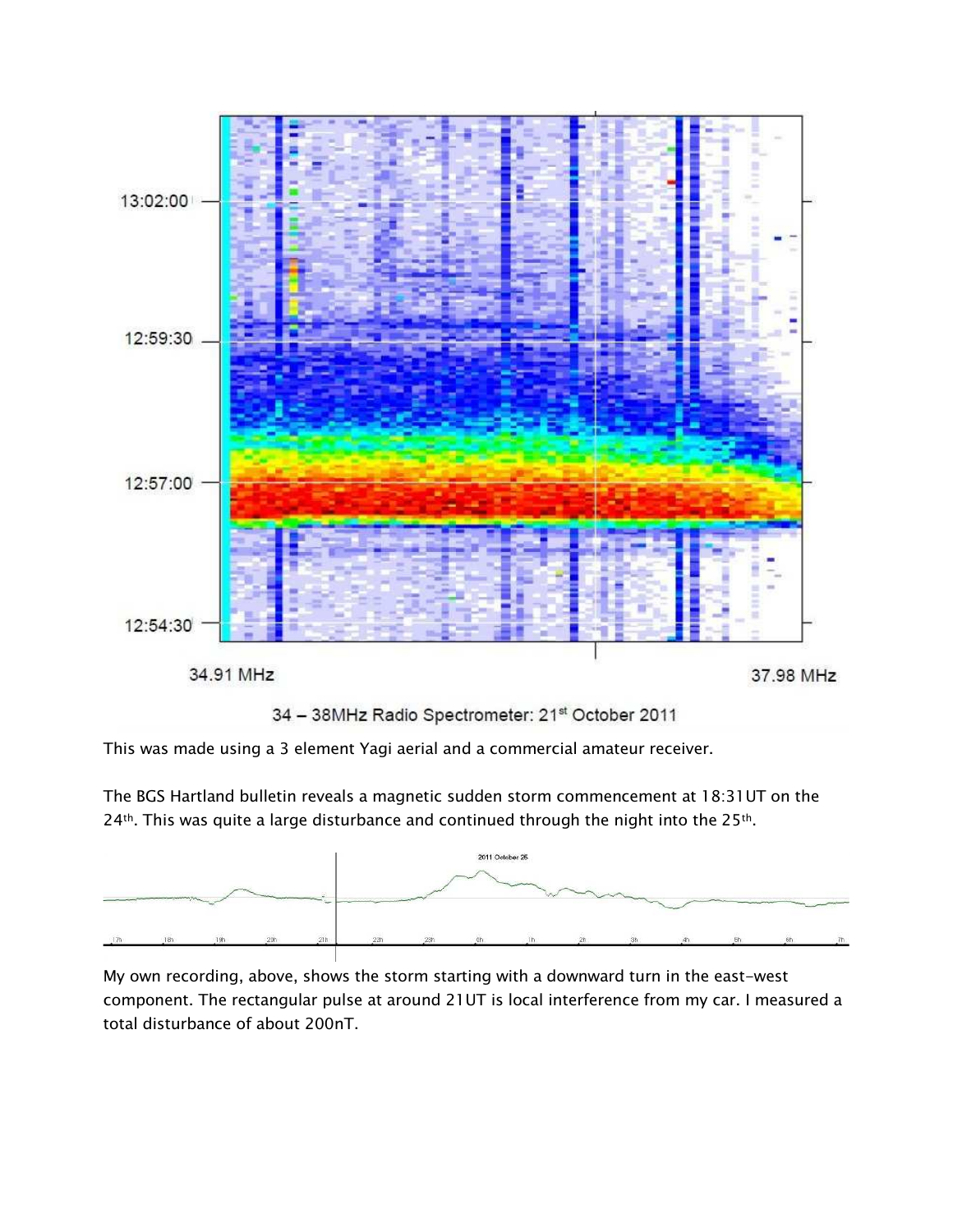

34 - 38MHz Radio Spectrometer: 21st October 2011

This was made using a 3 element Yagi aerial and a commercial amateur receiver.

The BGS Hartland bulletin reveals a magnetic sudden storm commencement at 18:31UT on the 24th. This was quite a large disturbance and continued through the night into the 25th.



My own recording, above, shows the storm starting with a downward turn in the east-west component. The rectangular pulse at around 21UT is local interference from my car. I measured a total disturbance of about 200nT.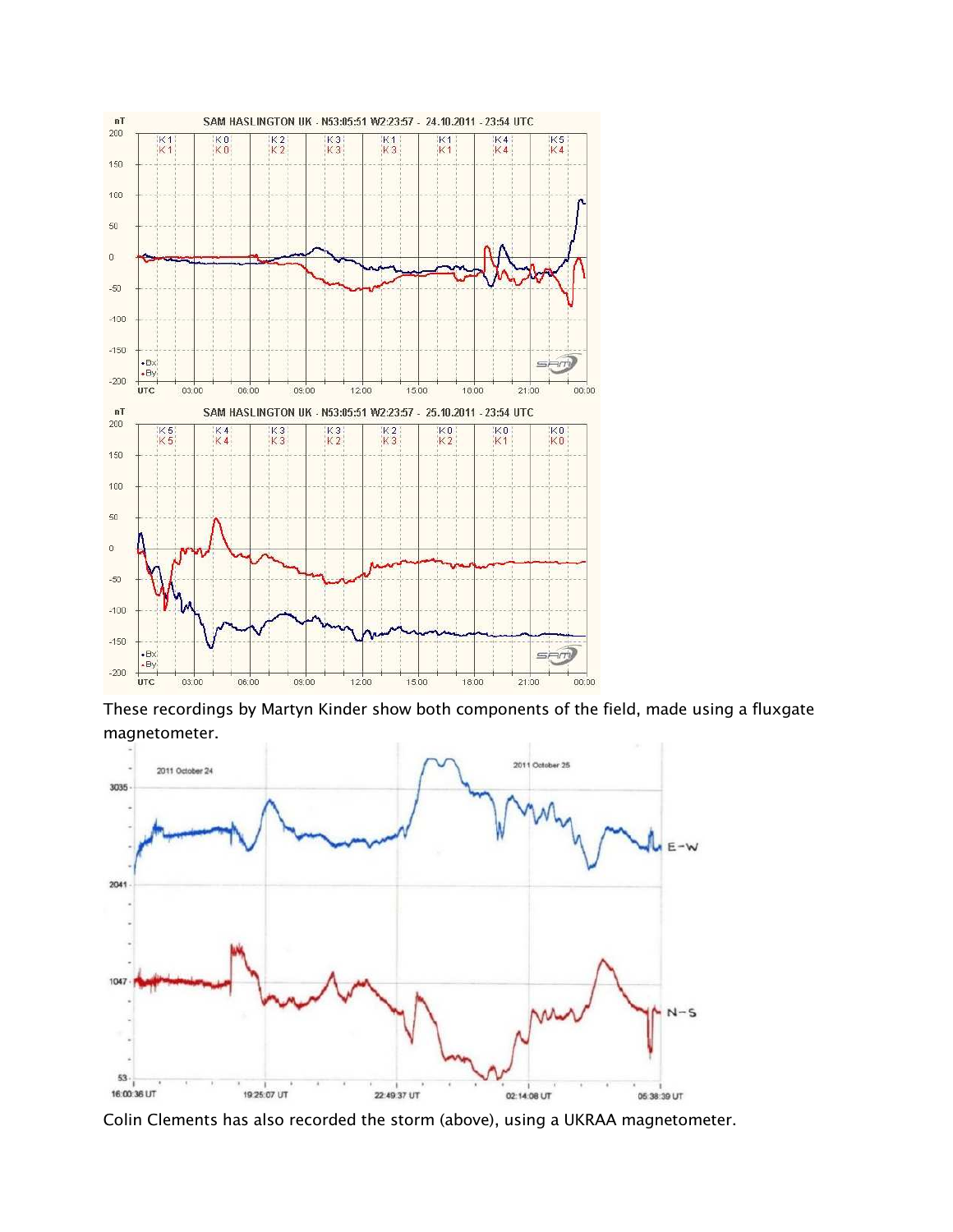

These recordings by Martyn Kinder show both components of the field, made using a fluxgate magnetometer.



Colin Clements has also recorded the storm (above), using a UKRAA magnetometer.